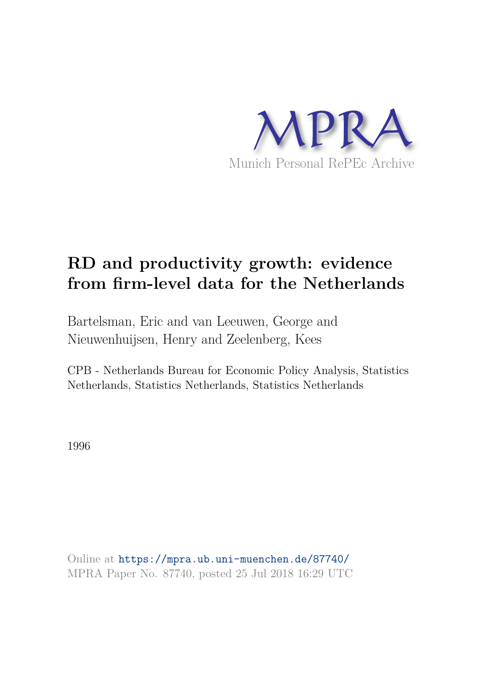

# **RD and productivity growth: evidence from firm-level data for the Netherlands**

Bartelsman, Eric and van Leeuwen, George and Nieuwenhuijsen, Henry and Zeelenberg, Kees

CPB - Netherlands Bureau for Economic Policy Analysis, Statistics Netherlands, Statistics Netherlands, Statistics Netherlands

1996

Online at https://mpra.ub.uni-muenchen.de/87740/ MPRA Paper No. 87740, posted 25 Jul 2018 16:29 UTC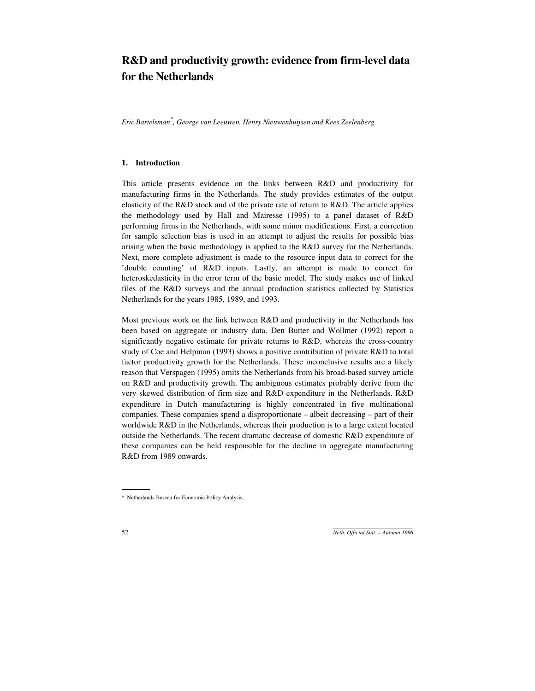## **R&D and productivity growth: evidence from firm-level data for the Netherlands**

*Eric Bartelsman\* , George van Leeuwen, Henry Nieuwenhuijsen and Kees Zeelenberg*

#### **1. Introduction**

This article presents evidence on the links between R&D and productivity for manufacturing firms in the Netherlands. The study provides estimates of the output elasticity of the R&D stock and of the private rate of return to R&D. The article applies the methodology used by Hall and Mairesse (1995) to a panel dataset of R&D performing firms in the Netherlands, with some minor modifications. First, a correction for sample selection bias is used in an attempt to adjust the results for possible bias arising when the basic methodology is applied to the R&D survey for the Netherlands. Next, more complete adjustment is made to the resource input data to correct for the 'double counting' of R&D inputs. Lastly, an attempt is made to correct for heteroskedasticity in the error term of the basic model. The study makes use of linked files of the R&D surveys and the annual production statistics collected by Statistics Netherlands for the years 1985, 1989, and 1993.

Most previous work on the link between R&D and productivity in the Netherlands has been based on aggregate or industry data. Den Butter and Wollmer (1992) report a significantly negative estimate for private returns to R&D, whereas the cross-country study of Coe and Helpman (1993) shows a positive contribution of private R&D to total factor productivity growth for the Netherlands. These inconclusive results are a likely reason that Verspagen (1995) omits the Netherlands from his broad-based survey article on R&D and productivity growth. The ambiguous estimates probably derive from the very skewed distribution of firm size and R&D expenditure in the Netherlands. R&D expenditure in Dutch manufacturing is highly concentrated in five multinational companies. These companies spend a disproportionate – albeit decreasing – part of their worldwide R&D in the Netherlands, whereas their production is to a large extent located outside the Netherlands. The recent dramatic decrease of domestic R&D expenditure of these companies can be held responsible for the decline in aggregate manufacturing R&D from 1989 onwards.

<sup>\*</sup> Netherlands Bureau for Economic Policy Analysis.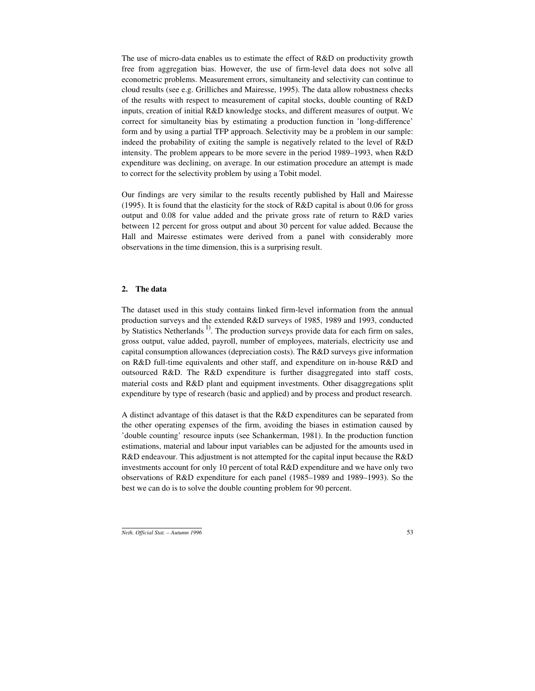The use of micro-data enables us to estimate the effect of R&D on productivity growth free from aggregation bias. However, the use of firm-level data does not solve all econometric problems. Measurement errors, simultaneity and selectivity can continue to cloud results (see e.g. Grilliches and Mairesse, 1995). The data allow robustness checks of the results with respect to measurement of capital stocks, double counting of R&D inputs, creation of initial R&D knowledge stocks, and different measures of output. We correct for simultaneity bias by estimating a production function in 'long-difference' form and by using a partial TFP approach. Selectivity may be a problem in our sample: indeed the probability of exiting the sample is negatively related to the level of R&D intensity. The problem appears to be more severe in the period 1989–1993, when R&D expenditure was declining, on average. In our estimation procedure an attempt is made to correct for the selectivity problem by using a Tobit model.

Our findings are very similar to the results recently published by Hall and Mairesse (1995). It is found that the elasticity for the stock of R&D capital is about 0.06 for gross output and 0.08 for value added and the private gross rate of return to R&D varies between 12 percent for gross output and about 30 percent for value added. Because the Hall and Mairesse estimates were derived from a panel with considerably more observations in the time dimension, this is a surprising result.

#### **2. The data**

The dataset used in this study contains linked firm-level information from the annual production surveys and the extended R&D surveys of 1985, 1989 and 1993, conducted by Statistics Netherlands<sup>1)</sup>. The production surveys provide data for each firm on sales, gross output, value added, payroll, number of employees, materials, electricity use and capital consumption allowances (depreciation costs). The R&D surveys give information on R&D full-time equivalents and other staff, and expenditure on in-house R&D and outsourced R&D. The R&D expenditure is further disaggregated into staff costs, material costs and R&D plant and equipment investments. Other disaggregations split expenditure by type of research (basic and applied) and by process and product research.

A distinct advantage of this dataset is that the R&D expenditures can be separated from the other operating expenses of the firm, avoiding the biases in estimation caused by 'double counting' resource inputs (see Schankerman, 1981). In the production function estimations, material and labour input variables can be adjusted for the amounts used in R&D endeavour. This adjustment is not attempted for the capital input because the R&D investments account for only 10 percent of total R&D expenditure and we have only two observations of R&D expenditure for each panel (1985–1989 and 1989–1993). So the best we can do is to solve the double counting problem for 90 percent.

*Neth. Official Stat. – Autumn 1996* 53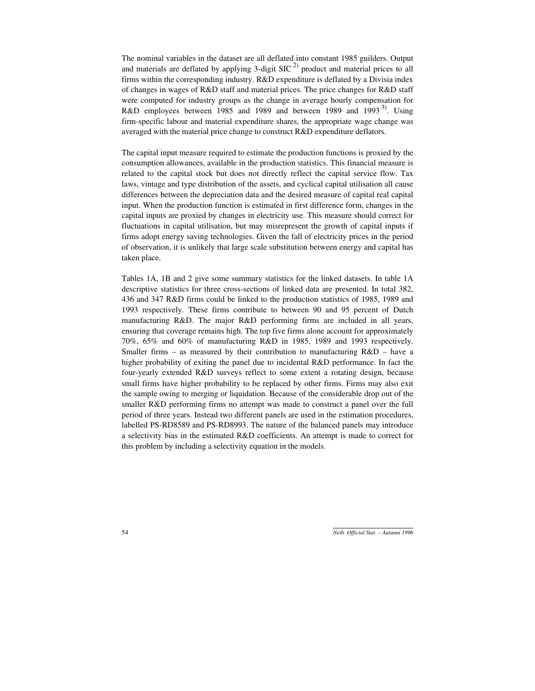The nominal variables in the dataset are all deflated into constant 1985 guilders. Output and materials are deflated by applying 3-digit  $SIC<sup>2</sup>$  product and material prices to all firms within the corresponding industry. R&D expenditure is deflated by a Divisia index of changes in wages of R&D staff and material prices. The price changes for R&D staff were computed for industry groups as the change in average hourly compensation for R&D employees between 1985 and 1989 and between 1989 and 1993<sup>3</sup>. Using firm-specific labour and material expenditure shares, the appropriate wage change was averaged with the material price change to construct R&D expenditure deflators.

The capital input measure required to estimate the production functions is proxied by the consumption allowances, available in the production statistics. This financial measure is related to the capital stock but does not directly reflect the capital service flow. Tax laws, vintage and type distribution of the assets, and cyclical capital utilisation all cause differences between the depreciation data and the desired measure of capital real capital input. When the production function is estimated in first difference form, changes in the capital inputs are proxied by changes in electricity use. This measure should correct for fluctuations in capital utilisation, but may misrepresent the growth of capital inputs if firms adopt energy saving technologies. Given the fall of electricity prices in the period of observation, it is unlikely that large scale substitution between energy and capital has taken place.

Tables 1A, 1B and 2 give some summary statistics for the linked datasets. In table 1A descriptive statistics for three cross-sections of linked data are presented. In total 382, 436 and 347 R&D firms could be linked to the production statistics of 1985, 1989 and 1993 respectively. These firms contribute to between 90 and 95 percent of Dutch manufacturing R&D. The major R&D performing firms are included in all years, ensuring that coverage remains high. The top five firms alone account for approximately 70%, 65% and 60% of manufacturing R&D in 1985, 1989 and 1993 respectively. Smaller firms – as measured by their contribution to manufacturing  $R&D$  – have a higher probability of exiting the panel due to incidental R&D performance. In fact the four-yearly extended R&D surveys reflect to some extent a rotating design, because small firms have higher probability to be replaced by other firms. Firms may also exit the sample owing to merging or liquidation. Because of the considerable drop out of the smaller R&D performing firms no attempt was made to construct a panel over the full period of three years. Instead two different panels are used in the estimation procedures, labelled PS-RD8589 and PS-RD8993. The nature of the balanced panels may introduce a selectivity bias in the estimated R&D coefficients. An attempt is made to correct for this problem by including a selectivity equation in the models.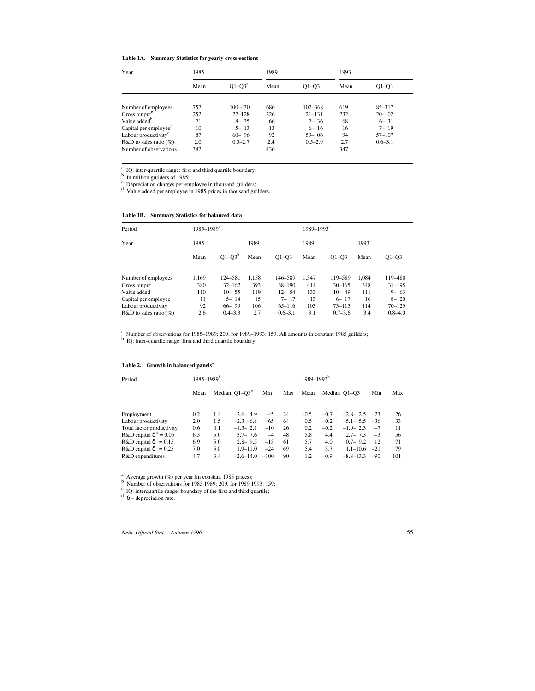### **Table 1A. Summary Statistics for yearly cross-sections**

| Year                              | 1985 |             | 1989 |             | 1993 |             |  |
|-----------------------------------|------|-------------|------|-------------|------|-------------|--|
|                                   | Mean | $Q1-Q3^a$   | Mean | $Q1-Q3$     | Mean | $O1 - O3$   |  |
| Number of employees               | 757  | 100-430     | 686  | 102-368     | 619  | $85 - 317$  |  |
| Gross output <sup>b</sup>         | 252  | $22 - 128$  | 226  | $21 - 131$  | 232  | $20 - 102$  |  |
| Value added <sup>b</sup>          | 71   | $8 - 35$    | 66   | $7 - 36$    | 68   | $6 - 31$    |  |
| Capital per employee <sup>c</sup> | 10   | $5 - 13$    | 13   | $6 - 16$    | 16   | $7 - 19$    |  |
| Labour productivity <sup>d</sup>  | 87   | $60 - 96$   | 92   | $59 - 06$   | 94   | $57 - 107$  |  |
| $R&D$ to sales ratio $(\%)$       | 2.0  | $0.3 - 2.7$ | 2.4  | $0.5 - 2.9$ | 2.7  | $0.6 - 3.1$ |  |
| Number of observations            | 382  |             | 436  |             | 347  |             |  |

<sup>a</sup> IQ: inter-quartile range: first and third quartile boundary;<br>
<sup>b</sup> In million guilders of 1985;<br>
<sup>c</sup> Depreciation charges per employee in thousand guilders;<br>
<sup>d</sup> Value added per employee in 1985 prices in thousand guil

#### **Table 1B. Summary Statistics for balanced data**

| Period                      |       | $1985 - 1989^a$ |       |             |       | $1989 - 1993^a$ |       |             |  |
|-----------------------------|-------|-----------------|-------|-------------|-------|-----------------|-------|-------------|--|
| Year                        | 1985  |                 | 1989  |             | 1989  |                 | 1993  |             |  |
|                             | Mean  | $Q1 - Q3^b$     | Mean  | $Q1 - Q3$   | Mean  | $O1 - O3$       | Mean  | $O1 - O3$   |  |
| Number of employees         | 1.169 | 124-581         | 1.158 | 146-589     | 1.347 | 119-589         | 1.084 | 119-480     |  |
| Gross output                | 380   | $32 - 167$      | 393   | $38 - 190$  | 414   | $30 - 165$      | 348   | $31 - 195$  |  |
| Value added                 | 110   | $10 - 55$       | 119   | $12 - 54$   | 133   | $10 - 49$       | 111   | $9 - 63$    |  |
| Capital per employee        | 11    | $5 - 14$        | 15    | $7 - 17$    | 13    | $6 - 17$        | 16    | $8 - 20$    |  |
| Labour productivity         | 92    | $66 - 99$       | 106   | $65 - 116$  | 103   | $73 - 115$      | 114   | $70 - 129$  |  |
| $R&D$ to sales ratio $(\%)$ | 2.6   | $0.4 - 3.3$     | 2.7   | $0.6 - 3.1$ | 3.1   | $0.7 - 3.6$     | 3.4   | $0.8 - 4.0$ |  |

<sup>a</sup> Number of observations for 1985–1989: 209, for 1989–1993: 159. All amounts in constant 1985 guilders;  $\frac{b}{c}$  IQ: inter-quartile range: first and third quartile boundary.

#### **Table 2. Growth in balanced panels<sup>a</sup>**

| Period                        |      | $1985 - 1989^b$ |                  |        |     | $1989 - 1993^{\rm b}$ |        |               |       |     |
|-------------------------------|------|-----------------|------------------|--------|-----|-----------------------|--------|---------------|-------|-----|
|                               | Mean |                 | Median $Q1-Q3^c$ | Min    | Max | Mean                  |        | Median O1–O3  | Min   | Max |
|                               |      |                 |                  |        |     |                       |        |               |       |     |
| Employment                    | 0.2  | 1.4             | $-2.6 - 4.9$     | $-4.5$ | 24  | $-0.5$                | $-0.7$ | $-2.8 - 2.5$  | $-23$ | 26  |
| Labour productivity           | 2.0  | 1.5             | $-2.3 -6.8$      | $-6.5$ | 64  | 0.5                   | $-0.2$ | $-5.1 - 5.5$  | $-36$ | 33  |
| Total factor productivity     | 0.6  | 0.1             | $-1.3 - 2.1$     | $-10$  | 26  | 0.2                   | $-0.2$ | $-1.9 - 2.3$  | $-7$  | 11  |
| R&D capital $\delta^d = 0.05$ | 6.3  | 5.0             | $3.7 - 7.6$      | $-4$   | 48  | 5.8                   | 4.4    | $2.7 - 7.3$   | $-3$  | 56  |
| $R&D$ capital $\delta = 0.15$ | 6.9  | 5.0             | $2.8 - 9.5$      | $-13$  | 61  | 5.7                   | 4.0    | $0.7 - 9.2$   | 12    | 71  |
| $R&D$ capital $\delta = 0.25$ | 7.0  | 5.0             | $1.9 - 11.0$     | $-24$  | 69  | 5.4                   | 3.7    | $1.1 - 10.6$  | $-21$ | 79  |
| R&D expenditures              | 4.7  | 3.4             | $-2.6 - 14.0$    | $-100$ | 90  | 1.2                   | 0.9    | $-8.8 - 13.3$ | $-90$ | 101 |

<sup>a</sup> Average growth (%) per year (in constant 1985 prices);<br><sup>b</sup> Number of observations for 1985 1989: 209, for 1989 1993: 159;

<sup>c</sup> IQ: interquartile-range: boundary of the first and third quartile;  $d \delta =$  depreciation rate.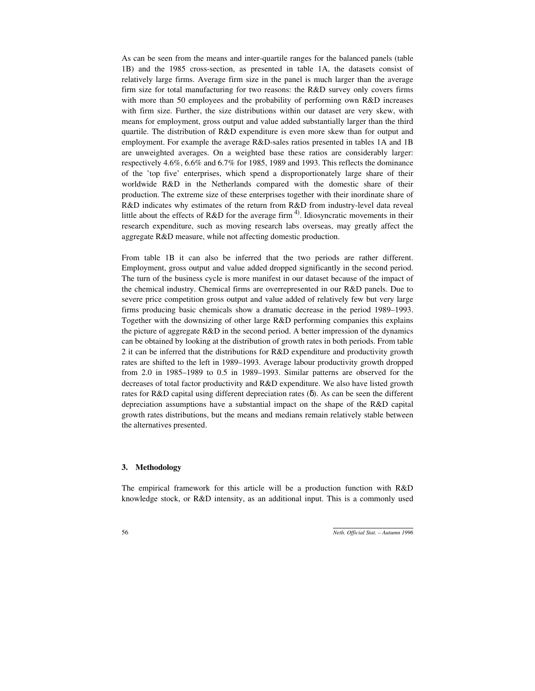As can be seen from the means and inter-quartile ranges for the balanced panels (table 1B) and the 1985 cross-section, as presented in table 1A, the datasets consist of relatively large firms. Average firm size in the panel is much larger than the average firm size for total manufacturing for two reasons: the R&D survey only covers firms with more than 50 employees and the probability of performing own R&D increases with firm size. Further, the size distributions within our dataset are very skew, with means for employment, gross output and value added substantially larger than the third quartile. The distribution of R&D expenditure is even more skew than for output and employment. For example the average R&D-sales ratios presented in tables 1A and 1B are unweighted averages. On a weighted base these ratios are considerably larger: respectively 4.6%, 6.6% and 6.7% for 1985, 1989 and 1993. This reflects the dominance of the 'top five' enterprises, which spend a disproportionately large share of their worldwide R&D in the Netherlands compared with the domestic share of their production. The extreme size of these enterprises together with their inordinate share of R&D indicates why estimates of the return from R&D from industry-level data reveal little about the effects of R&D for the average firm  $4$ . Idiosyncratic movements in their research expenditure, such as moving research labs overseas, may greatly affect the aggregate R&D measure, while not affecting domestic production.

From table 1B it can also be inferred that the two periods are rather different. Employment, gross output and value added dropped significantly in the second period. The turn of the business cycle is more manifest in our dataset because of the impact of the chemical industry. Chemical firms are overrepresented in our R&D panels. Due to severe price competition gross output and value added of relatively few but very large firms producing basic chemicals show a dramatic decrease in the period 1989–1993. Together with the downsizing of other large R&D performing companies this explains the picture of aggregate R&D in the second period. A better impression of the dynamics can be obtained by looking at the distribution of growth rates in both periods. From table 2 it can be inferred that the distributions for R&D expenditure and productivity growth rates are shifted to the left in 1989–1993. Average labour productivity growth dropped from 2.0 in 1985–1989 to 0.5 in 1989–1993. Similar patterns are observed for the decreases of total factor productivity and R&D expenditure. We also have listed growth rates for R&D capital using different depreciation rates (δ). As can be seen the different depreciation assumptions have a substantial impact on the shape of the R&D capital growth rates distributions, but the means and medians remain relatively stable between the alternatives presented.

### **3. Methodology**

The empirical framework for this article will be a production function with R&D knowledge stock, or R&D intensity, as an additional input. This is a commonly used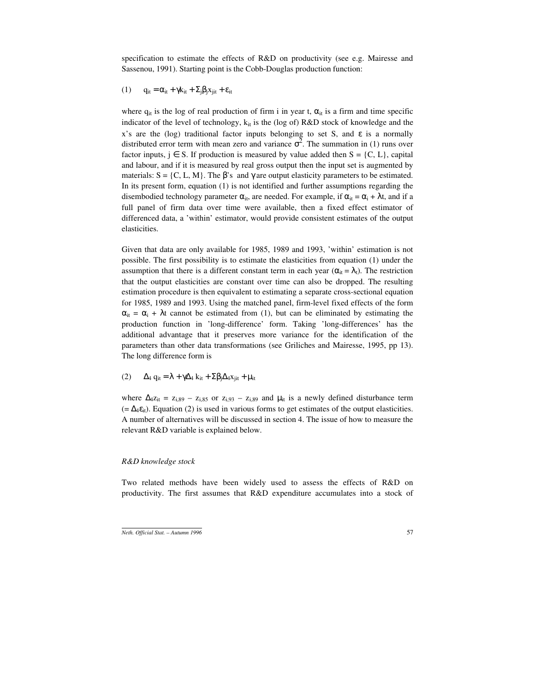specification to estimate the effects of R&D on productivity (see e.g. Mairesse and Sassenou, 1991). Starting point is the Cobb-Douglas production function:

$$
(1) \qquad q_{it} = \alpha_{it} + \gamma k_{it} + \Sigma_j \beta_j x_{jit} + \epsilon_{it}
$$

where  $q_{it}$  is the log of real production of firm i in year t,  $\alpha_{it}$  is a firm and time specific indicator of the level of technology,  $k_{it}$  is the (log of)  $R&D$  stock of knowledge and the x's are the (log) traditional factor inputs belonging to set S, and  $\varepsilon$  is a normally distributed error term with mean zero and variance  $\sigma^2$ . The summation in (1) runs over factor inputs,  $j \in S$ . If production is measured by value added then  $S = \{C, L\}$ , capital and labour, and if it is measured by real gross output then the input set is augmented by materials:  $S = \{C, L, M\}$ . The  $\beta$ 's and  $\gamma$  are output elasticity parameters to be estimated. In its present form, equation (1) is not identified and further assumptions regarding the disembodied technology parameter  $\alpha_{it}$ , are needed. For example, if  $\alpha_{it} = \alpha_i + \lambda t$ , and if a full panel of firm data over time were available, then a fixed effect estimator of differenced data, a 'within' estimator, would provide consistent estimates of the output elasticities.

Given that data are only available for 1985, 1989 and 1993, 'within' estimation is not possible. The first possibility is to estimate the elasticities from equation (1) under the assumption that there is a different constant term in each year ( $\alpha_{it} = \lambda_t$ ). The restriction that the output elasticities are constant over time can also be dropped. The resulting estimation procedure is then equivalent to estimating a separate cross-sectional equation for 1985, 1989 and 1993. Using the matched panel, firm-level fixed effects of the form  $\alpha_{it} = \alpha_i + \lambda t$  cannot be estimated from (1), but can be eliminated by estimating the production function in 'long-difference' form. Taking 'long-differences' has the additional advantage that it preserves more variance for the identification of the parameters than other data transformations (see Griliches and Mairesse, 1995, pp 13). The long difference form is

(2)  $\Delta_4$  q<sub>it</sub> =  $\lambda + \gamma \Delta_4$  k<sub>it</sub> +  $\Sigma \beta_1 \Delta_4 x_{\text{jit}} + \mu_{\text{it}}$ 

where  $\Delta 2z_{it} = z_{i,89} - z_{i,85}$  or  $z_{i,93} - z_{i,89}$  and  $\mu_{it}$  is a newly defined disturbance term  $(=\Delta_4 \varepsilon_{it})$ . Equation (2) is used in various forms to get estimates of the output elasticities. A number of alternatives will be discussed in section 4. The issue of how to measure the relevant R&D variable is explained below.

#### *R&D knowledge stock*

Two related methods have been widely used to assess the effects of R&D on productivity. The first assumes that R&D expenditure accumulates into a stock of

*Neth. Official Stat. – Autumn 1996* 57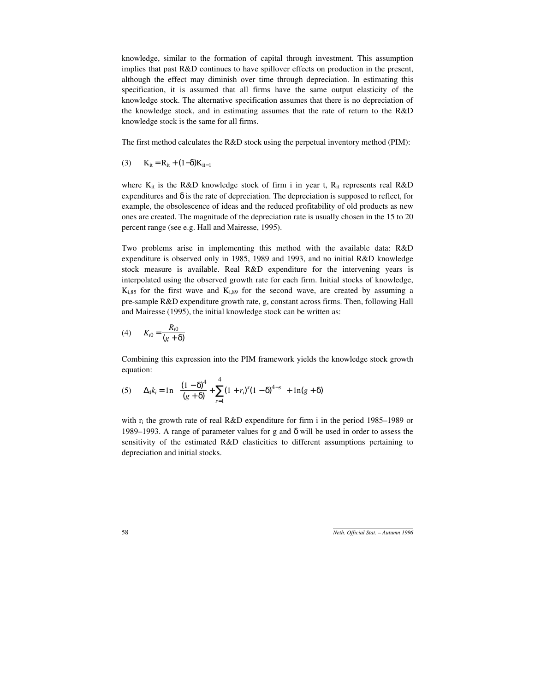knowledge, similar to the formation of capital through investment. This assumption implies that past R&D continues to have spillover effects on production in the present, although the effect may diminish over time through depreciation. In estimating this specification, it is assumed that all firms have the same output elasticity of the knowledge stock. The alternative specification assumes that there is no depreciation of the knowledge stock, and in estimating assumes that the rate of return to the R&D knowledge stock is the same for all firms.

The first method calculates the R&D stock using the perpetual inventory method (PIM):

(3) 
$$
K_{it} = R_{it} + (1-\delta)K_{it-1}
$$

where  $K_{it}$  is the R&D knowledge stock of firm i in year t,  $R_{it}$  represents real R&D expenditures and  $\delta$  is the rate of depreciation. The depreciation is supposed to reflect, for example, the obsolescence of ideas and the reduced profitability of old products as new ones are created. The magnitude of the depreciation rate is usually chosen in the 15 to 20 percent range (see e.g. Hall and Mairesse, 1995).

Two problems arise in implementing this method with the available data: R&D expenditure is observed only in 1985, 1989 and 1993, and no initial R&D knowledge stock measure is available. Real R&D expenditure for the intervening years is interpolated using the observed growth rate for each firm. Initial stocks of knowledge,  $K_{i,85}$  for the first wave and  $K_{i,89}$  for the second wave, are created by assuming a pre-sample R&D expenditure growth rate, g, constant across firms. Then, following Hall and Mairesse (1995), the initial knowledge stock can be written as:

(4) 
$$
K_{i0} = \frac{R_{i0}}{(g + \delta)}
$$

Combining this expression into the PIM framework yields the knowledge stock growth equation:

(5) 
$$
\Delta_4 k_i = \ln \left( \frac{(1-\delta)^4}{(g+\delta)} + \sum_{s=1}^4 (1+r_i)^s (1-\delta)^{4-s} \right) + \ln(g+\delta)
$$

with  $r_i$  the growth rate of real R&D expenditure for firm i in the period 1985–1989 or 1989–1993. A range of parameter values for g and  $\delta$  will be used in order to assess the sensitivity of the estimated R&D elasticities to different assumptions pertaining to depreciation and initial stocks.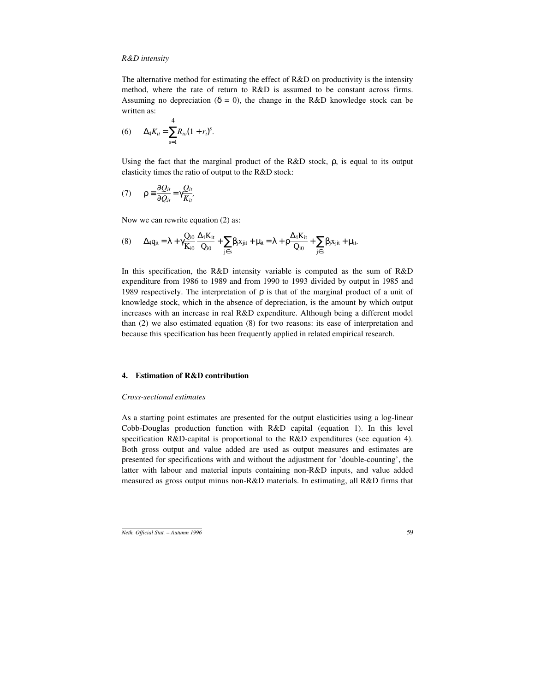### *R&D intensity*

The alternative method for estimating the effect of R&D on productivity is the intensity method, where the rate of return to R&D is assumed to be constant across firms. Assuming no depreciation ( $\delta = 0$ ), the change in the R&D knowledge stock can be written as:

(6) 
$$
\Delta_4 K_{it} = \sum_{s=1}^4 R_{io} (1+r_i)^s.
$$

Using the fact that the marginal product of the  $R&D$  stock,  $\rho$ , is equal to its output elasticity times the ratio of output to the R&D stock:

$$
(7) \qquad \rho \equiv \frac{\partial Q_{it}}{\partial Q_{it}} = \gamma \frac{Q_{it}}{K_{it}},
$$

Now we can rewrite equation (2) as:

$$
(8) \qquad \Delta_{4}q_{it}=\lambda+\gamma\frac{Q_{i0}}{K_{i0}}\frac{\Delta_{4}K_{it}}{Q_{i0}}+\sum_{j\in s}\beta_{j}x_{jit}+\mu_{it}=\lambda+\rho\frac{\Delta_{4}K_{it}}{Q_{i0}}+\sum_{j\in s}\beta_{j}x_{jit}+\mu_{it}.
$$

In this specification, the R&D intensity variable is computed as the sum of R&D expenditure from 1986 to 1989 and from 1990 to 1993 divided by output in 1985 and 1989 respectively. The interpretation of ρ is that of the marginal product of a unit of knowledge stock, which in the absence of depreciation, is the amount by which output increases with an increase in real R&D expenditure. Although being a different model than (2) we also estimated equation (8) for two reasons: its ease of interpretation and because this specification has been frequently applied in related empirical research.

### **4. Estimation of R&D contribution**

#### *Cross-sectional estimates*

As a starting point estimates are presented for the output elasticities using a log-linear Cobb-Douglas production function with R&D capital (equation 1). In this level specification R&D-capital is proportional to the R&D expenditures (see equation 4). Both gross output and value added are used as output measures and estimates are presented for specifications with and without the adjustment for 'double-counting', the latter with labour and material inputs containing non-R&D inputs, and value added measured as gross output minus non-R&D materials. In estimating, all R&D firms that

*Neth. Official Stat. – Autumn 1996* 59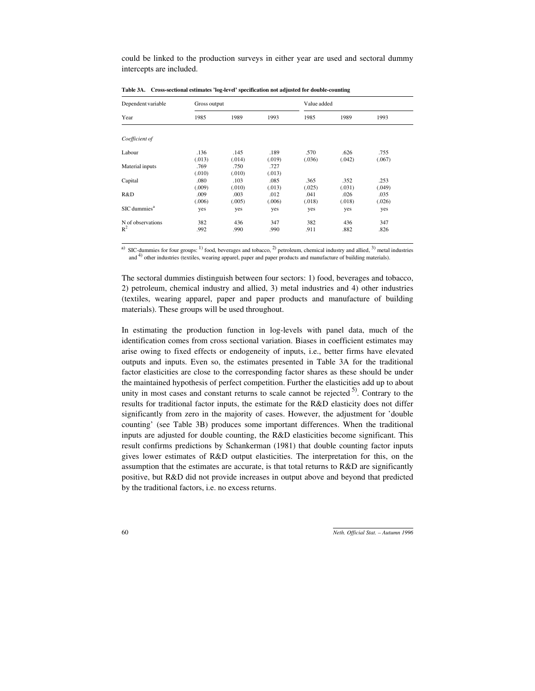could be linked to the production surveys in either year are used and sectoral dummy intercepts are included.

| Dependent variable       | Gross output |        |        | Value added |        |        |
|--------------------------|--------------|--------|--------|-------------|--------|--------|
| Year                     | 1985         | 1989   | 1993   | 1985        | 1989   | 1993   |
| Coefficient of           |              |        |        |             |        |        |
|                          | .136         | .145   | .189   | .570        | .626   | .755   |
| Labour                   | (.013)       | (.014) | (.019) | (.036)      | (.042) | (.067) |
| Material inputs          | .769         | .750   | .727   |             |        |        |
|                          | (.010)       | (.010) | (.013) |             |        |        |
| Capital                  | .080         | .103   | .085   | .365        | .352   | .253   |
|                          | (.009)       | (.010) | (.013) | (.025)      | (.031) | (.049) |
| R&D                      | .009         | .003   | .012   | .041        | .026   | .035   |
|                          | (.006)       | (.005) | (.006) | (.018)      | (.018) | (.026) |
| SIC dummies <sup>a</sup> | yes          | yes    | yes    | yes         | yes    | yes    |
|                          |              |        |        |             |        |        |
| N of observations        | 382          | 436    | 347    | 382         | 436    | 347    |
| $R^2$                    | .992         | .990   | .990   | .911        | .882   | .826   |

**Table 3A. Cross-sectional estimates 'log-level' specification not adjusted for double-counting**

<sup>a)</sup> SIC-dummies for four groups: <sup>1)</sup> food, beverages and tobacco, <sup>2)</sup> petroleum, chemical industry and allied, <sup>3)</sup> metal industries and <sup>4)</sup> other industries (textiles, wearing apparel, paper and paper products and manufacture of building materials).

The sectoral dummies distinguish between four sectors: 1) food, beverages and tobacco, 2) petroleum, chemical industry and allied, 3) metal industries and 4) other industries (textiles, wearing apparel, paper and paper products and manufacture of building materials). These groups will be used throughout.

In estimating the production function in log-levels with panel data, much of the identification comes from cross sectional variation. Biases in coefficient estimates may arise owing to fixed effects or endogeneity of inputs, i.e., better firms have elevated outputs and inputs. Even so, the estimates presented in Table 3A for the traditional factor elasticities are close to the corresponding factor shares as these should be under the maintained hypothesis of perfect competition. Further the elasticities add up to about unity in most cases and constant returns to scale cannot be rejected  $5^{\circ}$ . Contrary to the results for traditional factor inputs, the estimate for the R&D elasticity does not differ significantly from zero in the majority of cases. However, the adjustment for 'double counting' (see Table 3B) produces some important differences. When the traditional inputs are adjusted for double counting, the R&D elasticities become significant. This result confirms predictions by Schankerman (1981) that double counting factor inputs gives lower estimates of R&D output elasticities. The interpretation for this, on the assumption that the estimates are accurate, is that total returns to R&D are significantly positive, but R&D did not provide increases in output above and beyond that predicted by the traditional factors, i.e. no excess returns.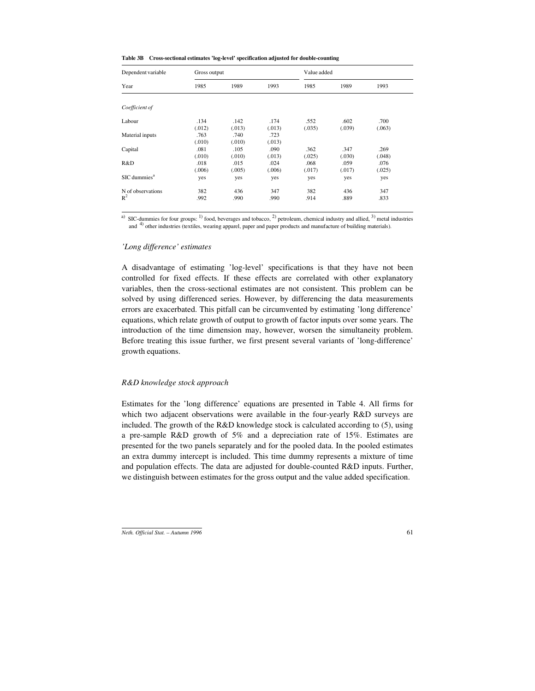| Table 3B Cross-sectional estimates 'log-level' specification adjusted for double-counting |  |  |  |
|-------------------------------------------------------------------------------------------|--|--|--|
|-------------------------------------------------------------------------------------------|--|--|--|

| Gross output |        |        | Value added |        |        |  |
|--------------|--------|--------|-------------|--------|--------|--|
| 1985         | 1989   | 1993   | 1985        | 1989   | 1993   |  |
|              |        |        |             |        |        |  |
| .134         | .142   | .174   | .552        | .602   | .700   |  |
| (.012)       | (.013) | (.013) | (.035)      | (.039) | (.063) |  |
| .763         | .740   | .723   |             |        |        |  |
| (.010)       | (.010) | (.013) |             |        |        |  |
| .081         | .105   | .090   | .362        | .347   | .269   |  |
| (.010)       | (.010) | (.013) | (.025)      | (.030) | (.048) |  |
| .018         | .015   | .024   | .068        | .059   | .076   |  |
| (.006)       | (.005) | (.006) | (.017)      |        | (.025) |  |
| yes          | yes    | yes    | yes         | yes    | yes    |  |
| 382          | 436    | 347    | 382         | 436    | 347    |  |
| .992         | .990   | .990   | .914        | .889   | .833   |  |
|              |        |        |             |        | (.017) |  |

<sup>a)</sup> SIC-dummies for four groups: <sup>1)</sup> food, beverages and tobacco, <sup>2)</sup> petroleum, chemical industry and allied, <sup>3)</sup> metal industries and 4) other industries (textiles, wearing apparel, paper and paper products and manufacture of building materials).

#### *'Long difference' estimates*

A disadvantage of estimating 'log-level' specifications is that they have not been controlled for fixed effects. If these effects are correlated with other explanatory variables, then the cross-sectional estimates are not consistent. This problem can be solved by using differenced series. However, by differencing the data measurements errors are exacerbated. This pitfall can be circumvented by estimating 'long difference' equations, which relate growth of output to growth of factor inputs over some years. The introduction of the time dimension may, however, worsen the simultaneity problem. Before treating this issue further, we first present several variants of 'long-difference' growth equations.

#### *R&D knowledge stock approach*

Estimates for the 'long difference' equations are presented in Table 4. All firms for which two adjacent observations were available in the four-yearly R&D surveys are included. The growth of the R&D knowledge stock is calculated according to (5), using a pre-sample R&D growth of 5% and a depreciation rate of 15%. Estimates are presented for the two panels separately and for the pooled data. In the pooled estimates an extra dummy intercept is included. This time dummy represents a mixture of time and population effects. The data are adjusted for double-counted R&D inputs. Further, we distinguish between estimates for the gross output and the value added specification.

*Neth. Official Stat. – Autumn 1996* 61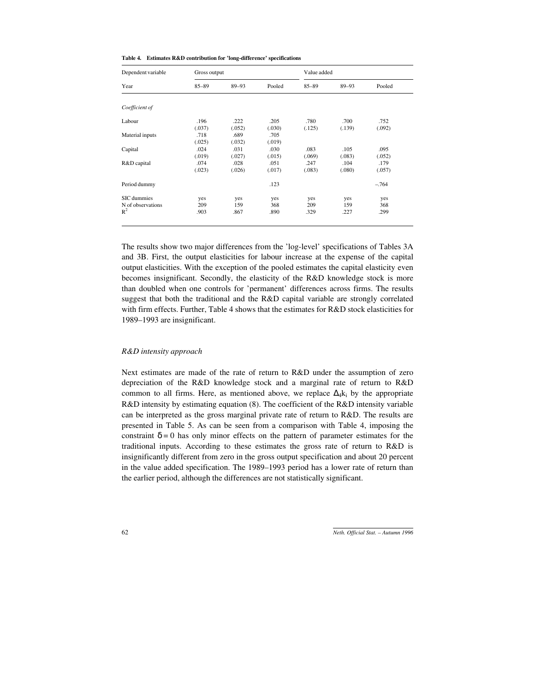|  | Table 4. Estimates R&D contribution for 'long-difference' specifications |  |  |  |
|--|--------------------------------------------------------------------------|--|--|--|
|--|--------------------------------------------------------------------------|--|--|--|

| Dependent variable | Gross output |           |        | Value added |           |        |  |
|--------------------|--------------|-----------|--------|-------------|-----------|--------|--|
| Year               | $85 - 89$    | $89 - 93$ | Pooled | $85 - 89$   | $89 - 93$ | Pooled |  |
|                    |              |           |        |             |           |        |  |
| Coefficient of     |              |           |        |             |           |        |  |
| Labour             | .196         | .222      | .205   | .780        | .700      | .752   |  |
|                    | (.037)       | (.052)    | (.030) | (.125)      | (.139)    | (.092) |  |
| Material inputs    | .718         | .689      | .705   |             |           |        |  |
|                    | (.025)       | (.032)    | (.019) |             |           |        |  |
| Capital            | .024         | .031      | .030   | .083        | .105      | .095   |  |
|                    | (.019)       | (.027)    | (.015) | (.069)      | (.083)    | (.052) |  |
| R&D capital        | .074         | .028      | .051   | .247        | .104      | .179   |  |
|                    | (.023)       | (.026)    | (.017) | (.083)      | (.080)    | (.057) |  |
| Period dummy       |              |           | .123   |             |           | $-764$ |  |
| SIC dummies        | yes          | yes       | yes    | yes         | yes       | yes    |  |
| N of observations  | 209          | 159       | 368    | 209         | 159       | 368    |  |
| $R^2$              | .903         | .867      | .890   | .329        | .227      | .299   |  |
|                    |              |           |        |             |           |        |  |

The results show two major differences from the 'log-level' specifications of Tables 3A and 3B. First, the output elasticities for labour increase at the expense of the capital output elasticities. With the exception of the pooled estimates the capital elasticity even becomes insignificant. Secondly, the elasticity of the R&D knowledge stock is more than doubled when one controls for 'permanent' differences across firms. The results suggest that both the traditional and the R&D capital variable are strongly correlated with firm effects. Further, Table 4 shows that the estimates for R&D stock elasticities for 1989–1993 are insignificant.

#### *R&D intensity approach*

Next estimates are made of the rate of return to R&D under the assumption of zero depreciation of the R&D knowledge stock and a marginal rate of return to R&D common to all firms. Here, as mentioned above, we replace  $\Delta_4 k_i$  by the appropriate R&D intensity by estimating equation (8). The coefficient of the R&D intensity variable can be interpreted as the gross marginal private rate of return to R&D. The results are presented in Table 5. As can be seen from a comparison with Table 4, imposing the constraint  $\delta = 0$  has only minor effects on the pattern of parameter estimates for the traditional inputs. According to these estimates the gross rate of return to R&D is insignificantly different from zero in the gross output specification and about 20 percent in the value added specification. The 1989–1993 period has a lower rate of return than the earlier period, although the differences are not statistically significant.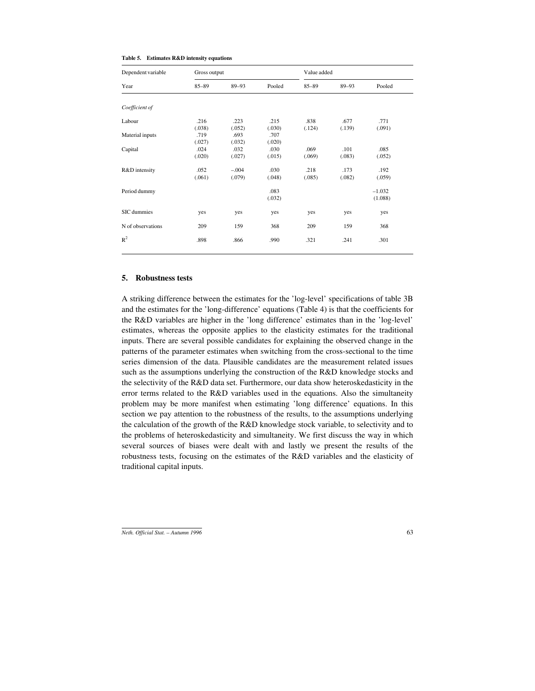| Table 5. | <b>Estimates R&amp;D intensity equations</b> |  |  |  |
|----------|----------------------------------------------|--|--|--|
|----------|----------------------------------------------|--|--|--|

| Dependent variable | Gross output   |                   |                | Value added    |                |                     |  |
|--------------------|----------------|-------------------|----------------|----------------|----------------|---------------------|--|
| Year               | $85 - 89$      | $89 - 93$         | Pooled         | $85 - 89$      | $89 - 93$      | Pooled              |  |
|                    |                |                   |                |                |                |                     |  |
| Coefficient of     |                |                   |                |                |                |                     |  |
| Labour             | .216<br>(.038) | .223<br>(.052)    | .215<br>(.030) | .838<br>(.124) | .677<br>(.139) | .771<br>(.091)      |  |
| Material inputs    | .719<br>(.027) | .693<br>(.032)    | .707<br>(.020) |                |                |                     |  |
| Capital            | .024<br>(.020) | .032<br>(.027)    | .030<br>(.015) | .069<br>(.069) | .101<br>(.083) | .085<br>(.052)      |  |
| R&D intensity      | .052<br>(.061) | $-.004$<br>(.079) | .030<br>(.048) | .218<br>(.085) | .173<br>(.082) | .192<br>(.059)      |  |
| Period dummy       |                |                   | .083<br>(.032) |                |                | $-1.032$<br>(1.088) |  |
| SIC dummies        | yes            | yes               | yes            | yes            | yes            | yes                 |  |
| N of observations  | 209            | 159               | 368            | 209            | 159            | 368                 |  |
| $R^2$              | .898           | .866              | .990           | .321           | .241           | .301                |  |

#### **5. Robustness tests**

A striking difference between the estimates for the 'log-level' specifications of table 3B and the estimates for the 'long-difference' equations (Table 4) is that the coefficients for the R&D variables are higher in the 'long difference' estimates than in the 'log-level' estimates, whereas the opposite applies to the elasticity estimates for the traditional inputs. There are several possible candidates for explaining the observed change in the patterns of the parameter estimates when switching from the cross-sectional to the time series dimension of the data. Plausible candidates are the measurement related issues such as the assumptions underlying the construction of the R&D knowledge stocks and the selectivity of the R&D data set. Furthermore, our data show heteroskedasticity in the error terms related to the R&D variables used in the equations. Also the simultaneity problem may be more manifest when estimating 'long difference' equations. In this section we pay attention to the robustness of the results, to the assumptions underlying the calculation of the growth of the R&D knowledge stock variable, to selectivity and to the problems of heteroskedasticity and simultaneity. We first discuss the way in which several sources of biases were dealt with and lastly we present the results of the robustness tests, focusing on the estimates of the R&D variables and the elasticity of traditional capital inputs.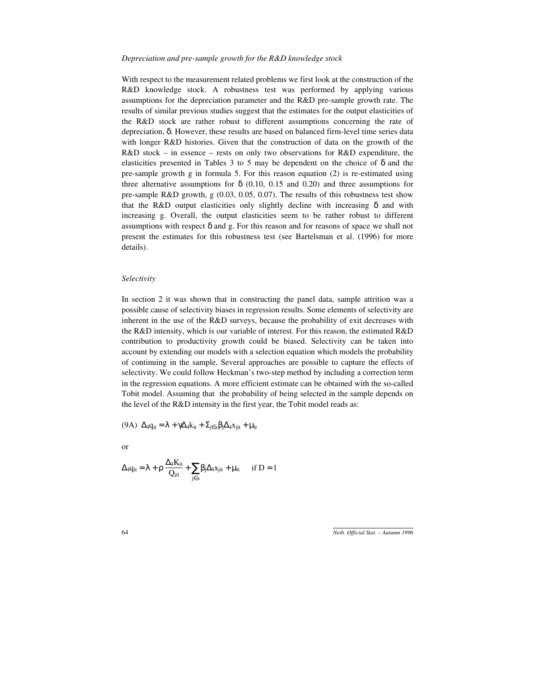#### *Depreciation and pre-sample growth for the R&D knowledge stock*

With respect to the measurement related problems we first look at the construction of the R&D knowledge stock. A robustness test was performed by applying various assumptions for the depreciation parameter and the R&D pre-sample growth rate. The results of similar previous studies suggest that the estimates for the output elasticities of the R&D stock are rather robust to different assumptions concerning the rate of depreciation, δ. However, these results are based on balanced firm-level time series data with longer R&D histories. Given that the construction of data on the growth of the R&D stock – in essence – rests on only two observations for R&D expenditure, the elasticities presented in Tables 3 to 5 may be dependent on the choice of  $\delta$  and the pre-sample growth g in formula 5. For this reason equation (2) is re-estimated using three alternative assumptions for  $\delta$  (0.10, 0.15 and 0.20) and three assumptions for pre-sample R&D growth, g (0.03, 0.05, 0.07). The results of this robustness test show that the R&D output elasticities only slightly decline with increasing  $\delta$  and with increasing g. Overall, the output elasticities seem to be rather robust to different assumptions with respect  $\delta$  and g. For this reason and for reasons of space we shall not present the estimates for this robustness test (see Bartelsman et al. (1996) for more details).

### *Selectivity*

In section 2 it was shown that in constructing the panel data, sample attrition was a possible cause of selectivity biases in regression results. Some elements of selectivity are inherent in the use of the R&D surveys, because the probability of exit decreases with the R&D intensity, which is our variable of interest. For this reason, the estimated R&D contribution to productivity growth could be biased. Selectivity can be taken into account by extending our models with a selection equation which models the probability of continuing in the sample. Several approaches are possible to capture the effects of selectivity. We could follow Heckman's two-step method by including a correction term in the regression equations. A more efficient estimate can be obtained with the so-called Tobit model. Assuming that the probability of being selected in the sample depends on the level of the R&D intensity in the first year, the Tobit model reads as:

(9A)  $\Delta_4 q_{it} = \lambda + \gamma \Delta_4 k_{it} + \Sigma_{i \in s} \beta_i \Delta_4 x_{it} + \mu_{it}$ 

or

$$
\Delta_4 q_{it} = \lambda + \rho \, \frac{\Delta_4 K_{it}}{Q_{i0}} + \sum_{j \in s} \beta_j \Delta_4 x_{jit} + \mu_{it} \qquad \text{if } D = 1
$$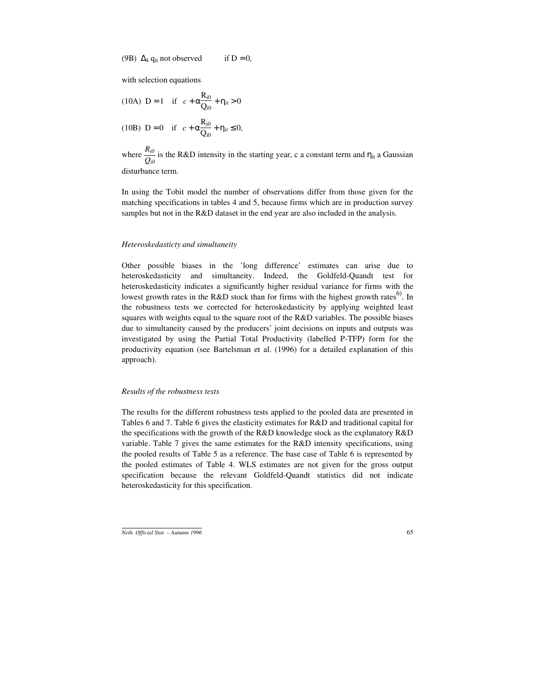(9B)  $\Delta_4$  q<sub>it</sub> not observed if D = 0,

with selection equations

(10A) D = 1 if 
$$
c + \alpha \frac{R_{i0}}{Q_{i0}} + \eta_{ii} > 0
$$
  
(10B) D = 0 if  $c + \alpha \frac{R_{i0}}{Q_{i0}} + \eta_{ii} \le 0$ ,

where  $\frac{R_{i0}}{Q_{i0}}$  is the R&D intensity in the starting year, c a constant term and  $\eta_{it}$  a Gaussian disturbance term.

In using the Tobit model the number of observations differ from those given for the matching specifications in tables 4 and 5, because firms which are in production survey samples but not in the R&D dataset in the end year are also included in the analysis.

### *Heteroskedasticty and simultaneity*

Other possible biases in the 'long difference' estimates can arise due to heteroskedasticity and simultaneity. Indeed, the Goldfeld-Quandt test for heteroskedasticity indicates a significantly higher residual variance for firms with the lowest growth rates in the R&D stock than for firms with the highest growth rates<sup>6)</sup>. In the robustness tests we corrected for heteroskedasticity by applying weighted least squares with weights equal to the square root of the R&D variables. The possible biases due to simultaneity caused by the producers' joint decisions on inputs and outputs was investigated by using the Partial Total Productivity (labelled P-TFP) form for the productivity equation (see Bartelsman et al. (1996) for a detailed explanation of this approach).

#### *Results of the robustness tests*

The results for the different robustness tests applied to the pooled data are presented in Tables 6 and 7. Table 6 gives the elasticity estimates for R&D and traditional capital for the specifications with the growth of the R&D knowledge stock as the explanatory R&D variable. Table 7 gives the same estimates for the R&D intensity specifications, using the pooled results of Table 5 as a reference. The base case of Table 6 is represented by the pooled estimates of Table 4. WLS estimates are not given for the gross output specification because the relevant Goldfeld-Quandt statistics did not indicate heteroskedasticity for this specification.

*Neth. Official Stat. – Autumn 1996* 65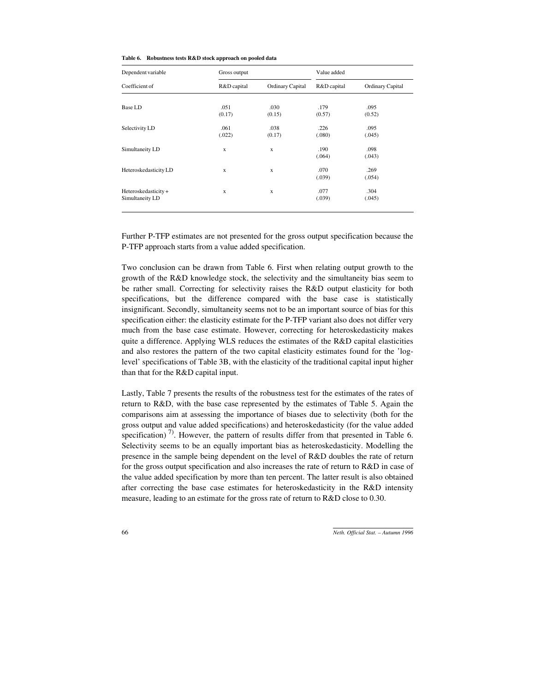| Table 6. Robustness tests R&D stock approach on pooled data |
|-------------------------------------------------------------|
|                                                             |

| Dependent variable    | Gross output |                  | Value added |                  |  |
|-----------------------|--------------|------------------|-------------|------------------|--|
| Coefficient of        | R&D capital  | Ordinary Capital | R&D capital | Ordinary Capital |  |
|                       |              |                  |             |                  |  |
| <b>Base LD</b>        | .051         | .030             | .179        | .095             |  |
|                       | (0.17)       | (0.15)           | (0.57)      | (0.52)           |  |
| Selectivity LD        | .061         | .038             | .226        | .095             |  |
|                       | (.022)       | (0.17)           | (.080)      | (.045)           |  |
| Simultaneity LD       | $\mathbf x$  | $\mathbf x$      | .190        | .098             |  |
|                       |              |                  | (.064)      | (.043)           |  |
| Heteroskedasticity LD | X            | X                | .070        | .269             |  |
|                       |              |                  | (.039)      | (.054)           |  |
| Heteroskedasticity+   | X            | X                | .077        | .304             |  |
| Simultaneity LD       |              |                  | (.039)      | (.045)           |  |
|                       |              |                  |             |                  |  |

Further P-TFP estimates are not presented for the gross output specification because the P-TFP approach starts from a value added specification.

Two conclusion can be drawn from Table 6. First when relating output growth to the growth of the R&D knowledge stock, the selectivity and the simultaneity bias seem to be rather small. Correcting for selectivity raises the R&D output elasticity for both specifications, but the difference compared with the base case is statistically insignificant. Secondly, simultaneity seems not to be an important source of bias for this specification either: the elasticity estimate for the P-TFP variant also does not differ very much from the base case estimate. However, correcting for heteroskedasticity makes quite a difference. Applying WLS reduces the estimates of the R&D capital elasticities and also restores the pattern of the two capital elasticity estimates found for the 'loglevel' specifications of Table 3B, with the elasticity of the traditional capital input higher than that for the R&D capital input.

Lastly, Table 7 presents the results of the robustness test for the estimates of the rates of return to R&D, with the base case represented by the estimates of Table 5. Again the comparisons aim at assessing the importance of biases due to selectivity (both for the gross output and value added specifications) and heteroskedasticity (for the value added specification)<sup>7)</sup>. However, the pattern of results differ from that presented in Table 6. Selectivity seems to be an equally important bias as heteroskedasticity. Modelling the presence in the sample being dependent on the level of R&D doubles the rate of return for the gross output specification and also increases the rate of return to R&D in case of the value added specification by more than ten percent. The latter result is also obtained after correcting the base case estimates for heteroskedasticity in the R&D intensity measure, leading to an estimate for the gross rate of return to R&D close to 0.30.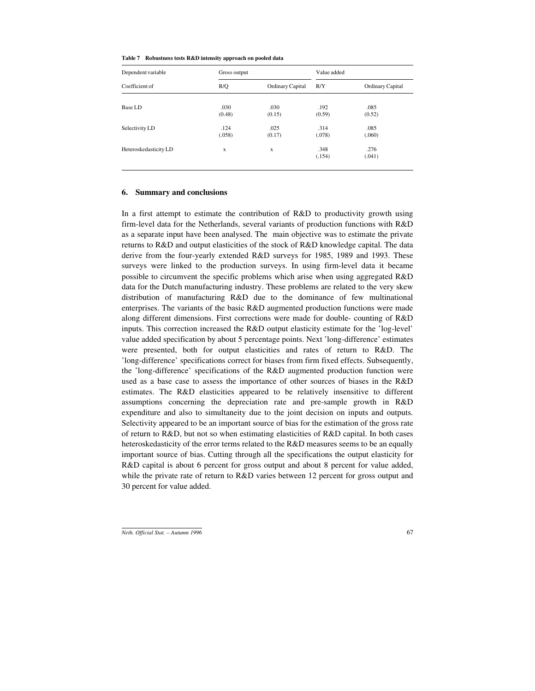| Dependent variable<br>Coefficient of | Gross output |                  | Value added |                  |
|--------------------------------------|--------------|------------------|-------------|------------------|
|                                      | R/Q          | Ordinary Capital | R/Y         | Ordinary Capital |
|                                      |              |                  |             |                  |
| <b>Base LD</b>                       | .030         | .030             | .192        | .085             |
|                                      | (0.48)       | (0.15)           | (0.59)      | (0.52)           |
| Selectivity LD                       | .124         | .025             | .314        | .085             |
|                                      | (.058)       | (0.17)           | (.078)      | (.060)           |
| Heteroskedasticity LD                | X            | X                | .348        | .276             |
|                                      |              |                  | (.154)      | (.041)           |
|                                      |              |                  |             |                  |

#### **6. Summary and conclusions**

In a first attempt to estimate the contribution of R&D to productivity growth using firm-level data for the Netherlands, several variants of production functions with R&D as a separate input have been analysed. The main objective was to estimate the private returns to R&D and output elasticities of the stock of R&D knowledge capital. The data derive from the four-yearly extended R&D surveys for 1985, 1989 and 1993. These surveys were linked to the production surveys. In using firm-level data it became possible to circumvent the specific problems which arise when using aggregated R&D data for the Dutch manufacturing industry. These problems are related to the very skew distribution of manufacturing R&D due to the dominance of few multinational enterprises. The variants of the basic R&D augmented production functions were made along different dimensions. First corrections were made for double- counting of R&D inputs. This correction increased the R&D output elasticity estimate for the 'log-level' value added specification by about 5 percentage points. Next 'long-difference' estimates were presented, both for output elasticities and rates of return to R&D. The 'long-difference' specifications correct for biases from firm fixed effects. Subsequently, the 'long-difference' specifications of the R&D augmented production function were used as a base case to assess the importance of other sources of biases in the R&D estimates. The R&D elasticities appeared to be relatively insensitive to different assumptions concerning the depreciation rate and pre-sample growth in R&D expenditure and also to simultaneity due to the joint decision on inputs and outputs. Selectivity appeared to be an important source of bias for the estimation of the gross rate of return to R&D, but not so when estimating elasticities of R&D capital. In both cases heteroskedasticity of the error terms related to the R&D measures seems to be an equally important source of bias. Cutting through all the specifications the output elasticity for R&D capital is about 6 percent for gross output and about 8 percent for value added, while the private rate of return to R&D varies between 12 percent for gross output and 30 percent for value added.

*Neth. Official Stat. – Autumn 1996* 67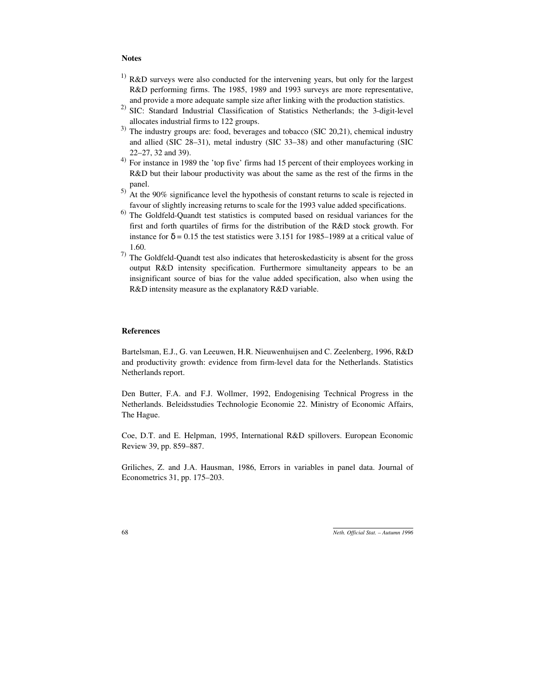### **Notes**

- $1)$  R&D surveys were also conducted for the intervening years, but only for the largest R&D performing firms. The 1985, 1989 and 1993 surveys are more representative, and provide a more adequate sample size after linking with the production statistics.
- 2) SIC: Standard Industrial Classification of Statistics Netherlands; the 3-digit-level allocates industrial firms to 122 groups.
- $3)$  The industry groups are: food, beverages and tobacco (SIC 20,21), chemical industry and allied (SIC 28–31), metal industry (SIC 33–38) and other manufacturing (SIC 22–27, 32 and 39).
- 4) For instance in 1989 the 'top five' firms had 15 percent of their employees working in R&D but their labour productivity was about the same as the rest of the firms in the panel.
- $^{5)}$  At the 90% significance level the hypothesis of constant returns to scale is rejected in favour of slightly increasing returns to scale for the 1993 value added specifications.
- 6) The Goldfeld-Quandt test statistics is computed based on residual variances for the first and forth quartiles of firms for the distribution of the R&D stock growth. For instance for  $\delta = 0.15$  the test statistics were 3.151 for 1985–1989 at a critical value of 1.60.
- <sup>7)</sup> The Goldfeld-Quandt test also indicates that heteroskedasticity is absent for the gross output R&D intensity specification. Furthermore simultaneity appears to be an insignificant source of bias for the value added specification, also when using the R&D intensity measure as the explanatory R&D variable.

#### **References**

Bartelsman, E.J., G. van Leeuwen, H.R. Nieuwenhuijsen and C. Zeelenberg, 1996, R&D and productivity growth: evidence from firm-level data for the Netherlands. Statistics Netherlands report.

Den Butter, F.A. and F.J. Wollmer, 1992, Endogenising Technical Progress in the Netherlands. Beleidsstudies Technologie Economie 22. Ministry of Economic Affairs, The Hague.

Coe, D.T. and E. Helpman, 1995, International R&D spillovers. European Economic Review 39, pp. 859–887.

Griliches, Z. and J.A. Hausman, 1986, Errors in variables in panel data. Journal of Econometrics 31, pp. 175–203.